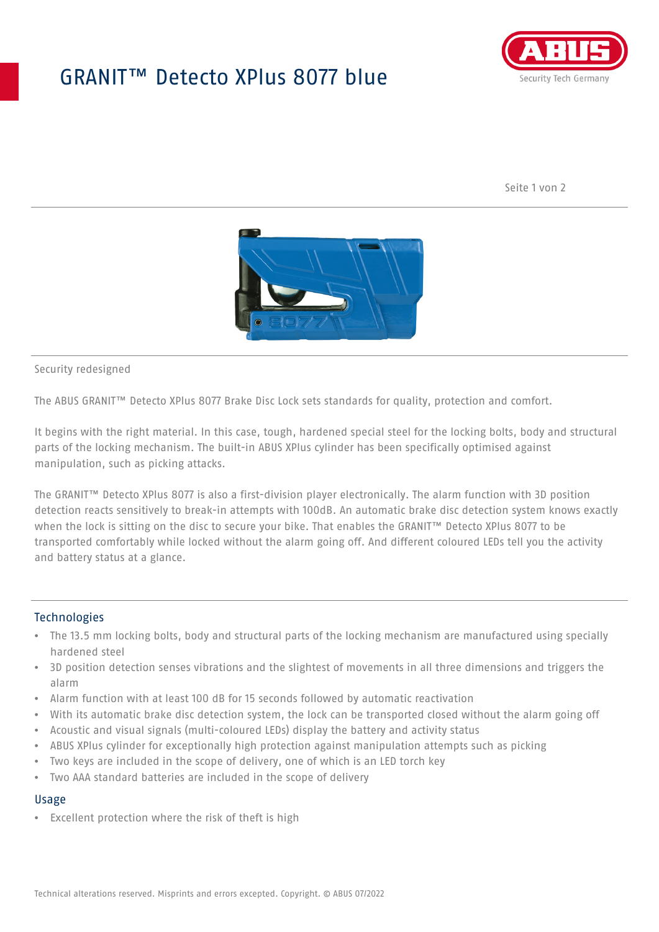## GRANIT™ Detecto XPlus 8077 blue



Seite 1 von 2



#### Security redesigned

The ABUS GRANIT™ Detecto XPlus 8077 Brake Disc Lock sets standards for quality, protection and comfort.

It begins with the right material. In this case, tough, hardened special steel for the locking bolts, body and structural parts of the locking mechanism. The built-in ABUS XPlus cylinder has been specifically optimised against manipulation, such as picking attacks.

The GRANIT™ Detecto XPlus 8077 is also a first-division player electronically. The alarm function with 3D position detection reacts sensitively to break-in attempts with 100dB. An automatic brake disc detection system knows exactly when the lock is sitting on the disc to secure your bike. That enables the GRANIT™ Detecto XPlus 8077 to be transported comfortably while locked without the alarm going off. And different coloured LEDs tell you the activity and battery status at a glance.

### **Technologies**

- The 13.5 mm locking bolts, body and structural parts of the locking mechanism are manufactured using specially hardened steel
- 3D position detection senses vibrations and the slightest of movements in all three dimensions and triggers the alarm
- Alarm function with at least 100 dB for 15 seconds followed by automatic reactivation
- With its automatic brake disc detection system, the lock can be transported closed without the alarm going off
- Acoustic and visual signals (multi-coloured LEDs) display the battery and activity status
- ABUS XPlus cylinder for exceptionally high protection against manipulation attempts such as picking
- Two keys are included in the scope of delivery, one of which is an LED torch key
- Two AAA standard batteries are included in the scope of delivery

### Usage

• Excellent protection where the risk of theft is high